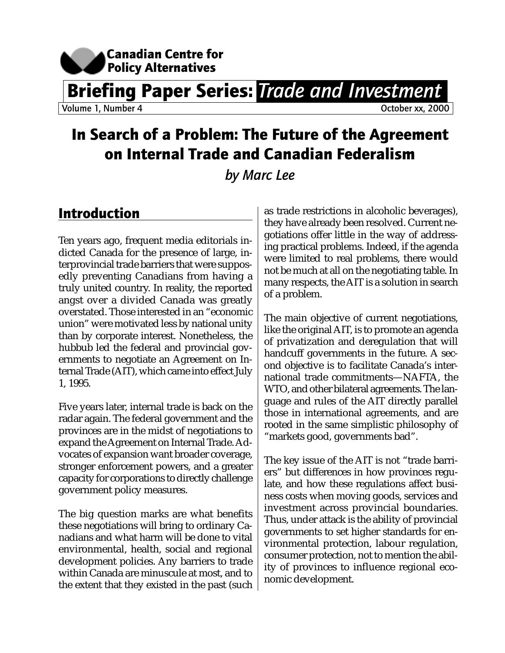

Briefing Paper Series: *Trade and Investment*

Volume 1, Number 4 **October xx**, 2000

# In Search of a Problem: The Future of the Agreement on Internal Trade and Canadian Federalism

### *by Marc Lee*

## Introduction

Ten years ago, frequent media editorials indicted Canada for the presence of large, interprovincial trade barriers that were supposedly preventing Canadians from having a truly united country. In reality, the reported angst over a divided Canada was greatly overstated. Those interested in an "economic union" were motivated less by national unity than by corporate interest. Nonetheless, the hubbub led the federal and provincial governments to negotiate an Agreement on Internal Trade (AIT), which came into effect July 1, 1995.

Five years later, internal trade is back on the radar again. The federal government and the provinces are in the midst of negotiations to expand the Agreement on Internal Trade. Advocates of expansion want broader coverage, stronger enforcement powers, and a greater capacity for corporations to directly challenge government policy measures.

The big question marks are what benefits these negotiations will bring to ordinary Canadians and what harm will be done to vital environmental, health, social and regional development policies. Any barriers to trade within Canada are minuscule at most, and to the extent that they existed in the past (such as trade restrictions in alcoholic beverages), they have already been resolved. Current negotiations offer little in the way of addressing practical problems. Indeed, if the agenda were limited to real problems, there would not be much at all on the negotiating table. In many respects, the AIT is a solution in search of a problem.

The main objective of current negotiations, like the original AIT, is to promote an agenda of privatization and deregulation that will handcuff governments in the future. A second objective is to facilitate Canada's international trade commitments—NAFTA, the WTO, and other bilateral agreements. The language and rules of the AIT directly parallel those in international agreements, and are rooted in the same simplistic philosophy of "markets good, governments bad".

The key issue of the AIT is not "trade barriers" but differences in how provinces regulate, and how these regulations affect business costs when moving goods, services and investment across provincial boundaries. Thus, under attack is the ability of provincial governments to set higher standards for environmental protection, labour regulation, consumer protection, not to mention the ability of provinces to influence regional economic development.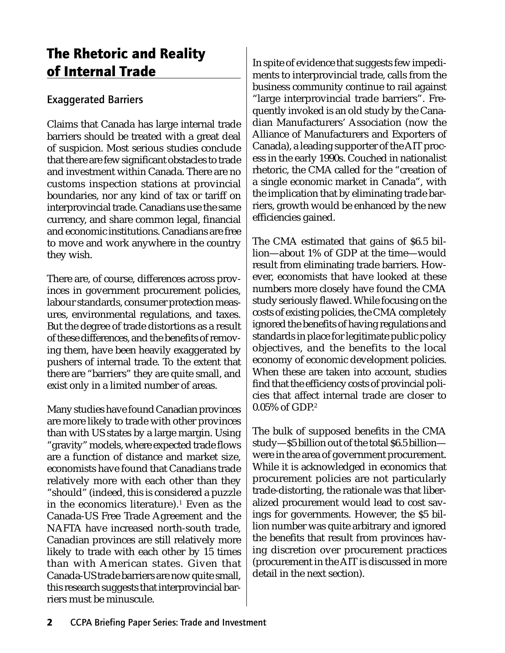## The Rhetoric and Reality of Internal Trade

#### Exaggerated Barriers

Claims that Canada has large internal trade barriers should be treated with a great deal of suspicion. Most serious studies conclude that there are few significant obstacles to trade and investment within Canada. There are no customs inspection stations at provincial boundaries, nor any kind of tax or tariff on interprovincial trade. Canadians use the same currency, and share common legal, financial and economic institutions. Canadians are free to move and work anywhere in the country they wish.

There are, of course, differences across provinces in government procurement policies, labour standards, consumer protection measures, environmental regulations, and taxes. But the degree of trade distortions as a result of these differences, and the benefits of removing them, have been heavily exaggerated by pushers of internal trade. To the extent that there are "barriers" they are quite small, and exist only in a limited number of areas.

Many studies have found Canadian provinces are more likely to trade with other provinces than with US states by a large margin. Using "gravity" models, where expected trade flows are a function of distance and market size, economists have found that Canadians trade relatively more with each other than they "should" (indeed, this is considered a puzzle in the economics literature). $^{\rm 1}$  Even as the Canada-US Free Trade Agreement and the NAFTA have increased north-south trade, Canadian provinces are still relatively more likely to trade with each other by 15 times than with American states. Given that Canada-US trade barriers are now quite small, this research suggests that interprovincial barriers must be minuscule.

In spite of evidence that suggests few impediments to interprovincial trade, calls from the business community continue to rail against "large interprovincial trade barriers". Frequently invoked is an old study by the Canadian Manufacturers' Association (now the Alliance of Manufacturers and Exporters of Canada), a leading supporter of the AIT process in the early 1990s. Couched in nationalist rhetoric, the CMA called for the "creation of a single economic market in Canada", with the implication that by eliminating trade barriers, growth would be enhanced by the new efficiencies gained.

The CMA estimated that gains of \$6.5 billion—about 1% of GDP at the time—would result from eliminating trade barriers. However, economists that have looked at these numbers more closely have found the CMA study seriously flawed. While focusing on the costs of existing policies, the CMA completely ignored the benefits of having regulations and standards in place for legitimate public policy objectives, and the benefits to the local economy of economic development policies. When these are taken into account, studies find that the efficiency costs of provincial policies that affect internal trade are closer to 0.05% of GDP.2

The bulk of supposed benefits in the CMA study—\$5 billion out of the total \$6.5 billion were in the area of government procurement. While it is acknowledged in economics that procurement policies are not particularly trade-distorting, the rationale was that liberalized procurement would lead to cost savings for governments. However, the \$5 billion number was quite arbitrary and ignored the benefits that result from provinces having discretion over procurement practices (procurement in the AIT is discussed in more detail in the next section).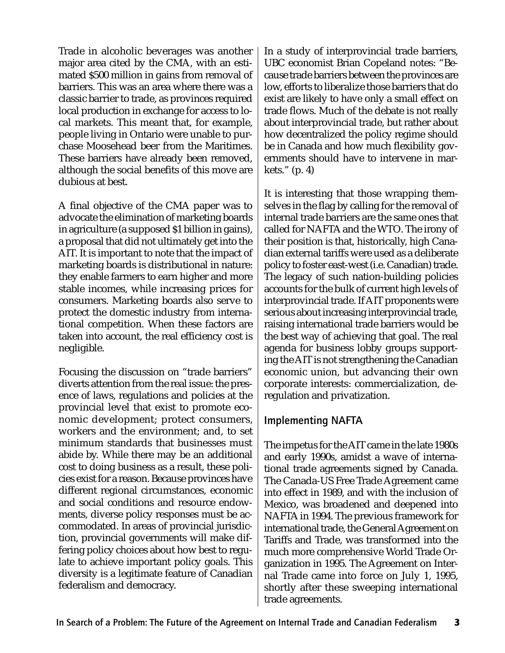Trade in alcoholic beverages was another major area cited by the CMA, with an estimated \$500 million in gains from removal of barriers. This was an area where there was a classic barrier to trade, as provinces required local production in exchange for access to local markets. This meant that, for example, people living in Ontario were unable to purchase Moosehead beer from the Maritimes. These barriers have already been removed, although the social benefits of this move are dubious at best.

A final objective of the CMA paper was to advocate the elimination of marketing boards in agriculture (a supposed \$1 billion in gains), a proposal that did not ultimately get into the AIT. It is important to note that the impact of marketing boards is distributional in nature: they enable farmers to earn higher and more stable incomes, while increasing prices for consumers. Marketing boards also serve to protect the domestic industry from international competition. When these factors are taken into account, the real efficiency cost is negligible.

Focusing the discussion on "trade barriers" diverts attention from the real issue: the presence of laws, regulations and policies at the provincial level that exist to promote economic development; protect consumers, workers and the environment; and, to set minimum standards that businesses must abide by. While there may be an additional cost to doing business as a result, these policies exist for a reason. Because provinces have different regional circumstances, economic and social conditions and resource endowments, diverse policy responses must be accommodated. In areas of provincial jurisdiction, provincial governments will make differing policy choices about how best to regulate to achieve important policy goals. This diversity is a legitimate feature of Canadian federalism and democracy.

In a study of interprovincial trade barriers, UBC economist Brian Copeland notes: "Because trade barriers between the provinces are low, efforts to liberalize those barriers that do exist are likely to have only a small effect on trade flows. Much of the debate is not really about interprovincial trade, but rather about how decentralized the policy regime should be in Canada and how much flexibility governments should have to intervene in markets." (p. 4)

It is interesting that those wrapping themselves in the flag by calling for the removal of internal trade barriers are the same ones that called for NAFTA and the WTO. The irony of their position is that, historically, high Canadian external tariffs were used as a deliberate policy to foster east-west (i.e. Canadian) trade. The legacy of such nation-building policies accounts for the bulk of current high levels of interprovincial trade. If AIT proponents were serious about increasing interprovincial trade, raising international trade barriers would be the best way of achieving that goal. The real agenda for business lobby groups supporting the AIT is not strengthening the Canadian economic union, but advancing their own corporate interests: commercialization, deregulation and privatization.

#### Implementing NAFTA

The impetus for the AIT came in the late 1980s and early 1990s, amidst a wave of international trade agreements signed by Canada. The Canada-US Free Trade Agreement came into effect in 1989, and with the inclusion of Mexico, was broadened and deepened into NAFTA in 1994. The previous framework for international trade, the General Agreement on Tariffs and Trade, was transformed into the much more comprehensive World Trade Organization in 1995. The Agreement on Internal Trade came into force on July 1, 1995, shortly after these sweeping international trade agreements.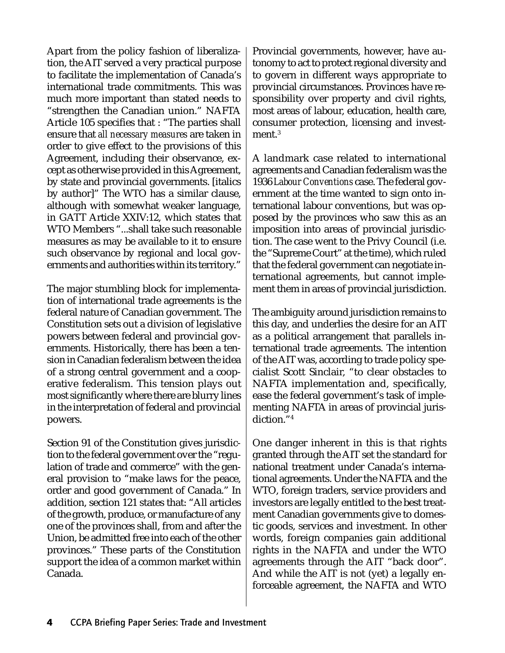Apart from the policy fashion of liberalization, the AIT served a very practical purpose to facilitate the implementation of Canada's international trade commitments. This was much more important than stated needs to "strengthen the Canadian union." NAFTA Article 105 specifies that : "The parties shall ensure that *all necessary measures* are taken in order to give effect to the provisions of this Agreement, including their observance, except as otherwise provided in this Agreement, by state and provincial governments. [italics by author]" The WTO has a similar clause, although with somewhat weaker language, in GATT Article XXIV:12, which states that WTO Members "...shall take such reasonable measures as may be available to it to ensure such observance by regional and local governments and authorities within its territory."

The major stumbling block for implementation of international trade agreements is the federal nature of Canadian government. The Constitution sets out a division of legislative powers between federal and provincial governments. Historically, there has been a tension in Canadian federalism between the idea of a strong central government and a cooperative federalism. This tension plays out most significantly where there are blurry lines in the interpretation of federal and provincial powers.

Section 91 of the Constitution gives jurisdiction to the federal government over the "regulation of trade and commerce" with the general provision to "make laws for the peace, order and good government of Canada." In addition, section 121 states that: "All articles of the growth, produce, or manufacture of any one of the provinces shall, from and after the Union, be admitted free into each of the other provinces." These parts of the Constitution support the idea of a common market within Canada.

Provincial governments, however, have autonomy to act to protect regional diversity and to govern in different ways appropriate to provincial circumstances. Provinces have responsibility over property and civil rights, most areas of labour, education, health care, consumer protection, licensing and investment.<sup>3</sup>

A landmark case related to international agreements and Canadian federalism was the 1936 *Labour Conventions* case. The federal government at the time wanted to sign onto international labour conventions, but was opposed by the provinces who saw this as an imposition into areas of provincial jurisdiction. The case went to the Privy Council (i.e. the "Supreme Court" at the time), which ruled that the federal government can negotiate international agreements, but cannot implement them in areas of provincial jurisdiction.

The ambiguity around jurisdiction remains to this day, and underlies the desire for an AIT as a political arrangement that parallels international trade agreements. The intention of the AIT was, according to trade policy specialist Scott Sinclair, "to clear obstacles to NAFTA implementation and, specifically, ease the federal government's task of implementing NAFTA in areas of provincial jurisdiction."4

One danger inherent in this is that rights granted through the AIT set the standard for national treatment under Canada's international agreements. Under the NAFTA and the WTO, foreign traders, service providers and investors are legally entitled to the best treatment Canadian governments give to domestic goods, services and investment. In other words, foreign companies gain additional rights in the NAFTA and under the WTO agreements through the AIT "back door". And while the AIT is not (yet) a legally enforceable agreement, the NAFTA and WTO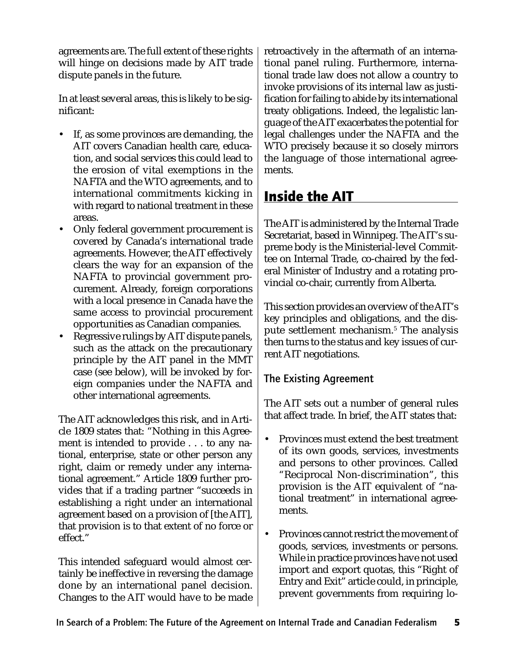agreements are. The full extent of these rights will hinge on decisions made by AIT trade dispute panels in the future.

In at least several areas, this is likely to be significant:

- If, as some provinces are demanding, the AIT covers Canadian health care, education, and social services this could lead to the erosion of vital exemptions in the NAFTA and the WTO agreements, and to international commitments kicking in with regard to national treatment in these areas.
- Only federal government procurement is covered by Canada's international trade agreements. However, the AIT effectively clears the way for an expansion of the NAFTA to provincial government procurement. Already, foreign corporations with a local presence in Canada have the same access to provincial procurement opportunities as Canadian companies.
- Regressive rulings by AIT dispute panels, such as the attack on the precautionary principle by the AIT panel in the MMT case (see below), will be invoked by foreign companies under the NAFTA and other international agreements.

The AIT acknowledges this risk, and in Article 1809 states that: "Nothing in this Agreement is intended to provide . . . to any national, enterprise, state or other person any right, claim or remedy under any international agreement." Article 1809 further provides that if a trading partner "succeeds in establishing a right under an international agreement based on a provision of [the AIT], that provision is to that extent of no force or effect."

This intended safeguard would almost certainly be ineffective in reversing the damage done by an international panel decision. Changes to the AIT would have to be made retroactively in the aftermath of an international panel ruling. Furthermore, international trade law does not allow a country to invoke provisions of its internal law as justification for failing to abide by its international treaty obligations. Indeed, the legalistic language of the AIT exacerbates the potential for legal challenges under the NAFTA and the WTO precisely because it so closely mirrors the language of those international agreements.

# Inside the AIT

The AIT is administered by the Internal Trade Secretariat, based in Winnipeg. The AIT's supreme body is the Ministerial-level Committee on Internal Trade, co-chaired by the federal Minister of Industry and a rotating provincial co-chair, currently from Alberta.

This section provides an overview of the AIT's key principles and obligations, and the dispute settlement mechanism.5 The analysis then turns to the status and key issues of current AIT negotiations.

#### The Existing Agreement

The AIT sets out a number of general rules that affect trade. In brief, the AIT states that:

- Provinces must extend the best treatment of its own goods, services, investments and persons to other provinces. Called "Reciprocal Non-discrimination", this provision is the AIT equivalent of "national treatment" in international agreements.
- Provinces cannot restrict the movement of goods, services, investments or persons. While in practice provinces have not used import and export quotas, this "Right of Entry and Exit" article could, in principle, prevent governments from requiring lo-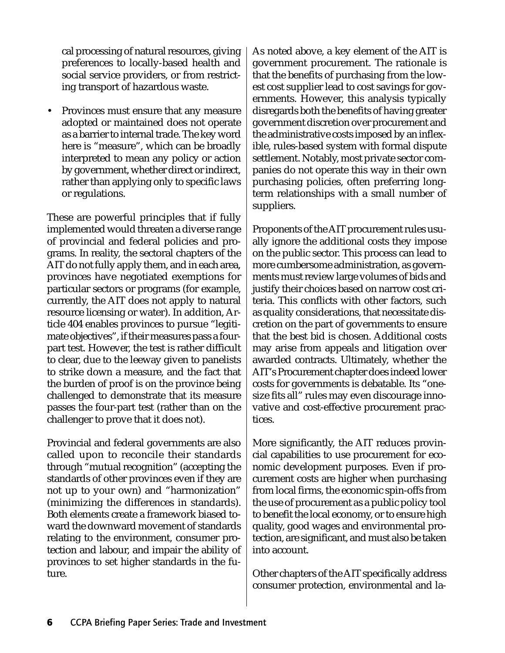cal processing of natural resources, giving preferences to locally-based health and social service providers, or from restricting transport of hazardous waste.

• Provinces must ensure that any measure adopted or maintained does not operate as a barrier to internal trade. The key word here is "measure", which can be broadly interpreted to mean any policy or action by government, whether direct or indirect, rather than applying only to specific laws or regulations.

These are powerful principles that if fully implemented would threaten a diverse range of provincial and federal policies and programs. In reality, the sectoral chapters of the AIT do not fully apply them, and in each area, provinces have negotiated exemptions for particular sectors or programs (for example, currently, the AIT does not apply to natural resource licensing or water). In addition, Article 404 enables provinces to pursue "legitimate objectives", if their measures pass a fourpart test. However, the test is rather difficult to clear, due to the leeway given to panelists to strike down a measure, and the fact that the burden of proof is on the province being challenged to demonstrate that its measure passes the four-part test (rather than on the challenger to prove that it does not).

Provincial and federal governments are also called upon to reconcile their standards through "mutual recognition" (accepting the standards of other provinces even if they are not up to your own) and "harmonization" (minimizing the differences in standards). Both elements create a framework biased toward the downward movement of standards relating to the environment, consumer protection and labour, and impair the ability of provinces to set higher standards in the future.

As noted above, a key element of the AIT is government procurement. The rationale is that the benefits of purchasing from the lowest cost supplier lead to cost savings for governments. However, this analysis typically disregards both the benefits of having greater government discretion over procurement and the administrative costs imposed by an inflexible, rules-based system with formal dispute settlement. Notably, most private sector companies do not operate this way in their own purchasing policies, often preferring longterm relationships with a small number of suppliers.

Proponents of the AIT procurement rules usually ignore the additional costs they impose on the public sector. This process can lead to more cumbersome administration, as governments must review large volumes of bids and justify their choices based on narrow cost criteria. This conflicts with other factors, such as quality considerations, that necessitate discretion on the part of governments to ensure that the best bid is chosen. Additional costs may arise from appeals and litigation over awarded contracts. Ultimately, whether the AIT's Procurement chapter does indeed lower costs for governments is debatable. Its "onesize fits all" rules may even discourage innovative and cost-effective procurement practices.

More significantly, the AIT reduces provincial capabilities to use procurement for economic development purposes. Even if procurement costs are higher when purchasing from local firms, the economic spin-offs from the use of procurement as a public policy tool to benefit the local economy, or to ensure high quality, good wages and environmental protection, are significant, and must also be taken into account.

Other chapters of the AIT specifically address consumer protection, environmental and la-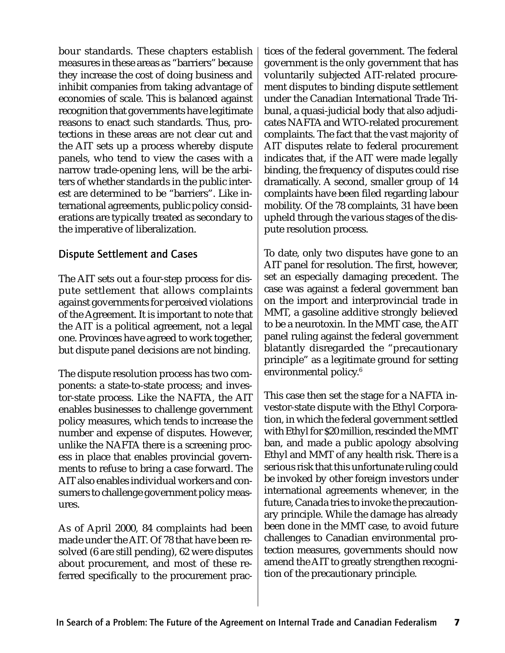bour standards. These chapters establish measures in these areas as "barriers" because they increase the cost of doing business and inhibit companies from taking advantage of economies of scale. This is balanced against recognition that governments have legitimate reasons to enact such standards. Thus, protections in these areas are not clear cut and the AIT sets up a process whereby dispute panels, who tend to view the cases with a narrow trade-opening lens, will be the arbiters of whether standards in the public interest are determined to be "barriers". Like international agreements, public policy considerations are typically treated as secondary to the imperative of liberalization.

#### Dispute Settlement and Cases

The AIT sets out a four-step process for dispute settlement that allows complaints against governments for perceived violations of the Agreement. It is important to note that the AIT is a political agreement, not a legal one. Provinces have agreed to work together, but dispute panel decisions are not binding.

The dispute resolution process has two components: a state-to-state process; and investor-state process. Like the NAFTA, the AIT enables businesses to challenge government policy measures, which tends to increase the number and expense of disputes. However, unlike the NAFTA there is a screening process in place that enables provincial governments to refuse to bring a case forward. The AIT also enables individual workers and consumers to challenge government policy measures.

As of April 2000, 84 complaints had been made under the AIT. Of 78 that have been resolved (6 are still pending), 62 were disputes about procurement, and most of these referred specifically to the procurement practices of the federal government. The federal government is the only government that has voluntarily subjected AIT-related procurement disputes to binding dispute settlement under the Canadian International Trade Tribunal, a quasi-judicial body that also adjudicates NAFTA and WTO-related procurement complaints. The fact that the vast majority of AIT disputes relate to federal procurement indicates that, if the AIT were made legally binding, the frequency of disputes could rise dramatically. A second, smaller group of 14 complaints have been filed regarding labour mobility. Of the 78 complaints, 31 have been upheld through the various stages of the dispute resolution process.

To date, only two disputes have gone to an AIT panel for resolution. The first, however, set an especially damaging precedent. The case was against a federal government ban on the import and interprovincial trade in MMT, a gasoline additive strongly believed to be a neurotoxin. In the MMT case, the AIT panel ruling against the federal government blatantly disregarded the "precautionary principle" as a legitimate ground for setting environmental policy.<sup>6</sup>

This case then set the stage for a NAFTA investor-state dispute with the Ethyl Corporation, in which the federal government settled with Ethyl for \$20 million, rescinded the MMT ban, and made a public apology absolving Ethyl and MMT of any health risk. There is a serious risk that this unfortunate ruling could be invoked by other foreign investors under international agreements whenever, in the future, Canada tries to invoke the precautionary principle. While the damage has already been done in the MMT case, to avoid future challenges to Canadian environmental protection measures, governments should now amend the AIT to greatly strengthen recognition of the precautionary principle.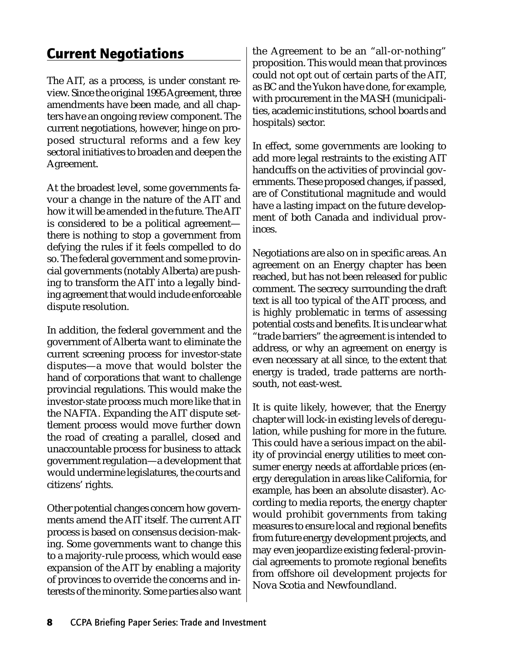## Current Negotiations

The AIT, as a process, is under constant review. Since the original 1995 Agreement, three amendments have been made, and all chapters have an ongoing review component. The current negotiations, however, hinge on proposed structural reforms and a few key sectoral initiatives to broaden and deepen the Agreement.

At the broadest level, some governments favour a change in the nature of the AIT and how it will be amended in the future. The AIT is considered to be a political agreement there is nothing to stop a government from defying the rules if it feels compelled to do so. The federal government and some provincial governments (notably Alberta) are pushing to transform the AIT into a legally binding agreement that would include enforceable dispute resolution.

In addition, the federal government and the government of Alberta want to eliminate the current screening process for investor-state disputes—a move that would bolster the hand of corporations that want to challenge provincial regulations. This would make the investor-state process much more like that in the NAFTA. Expanding the AIT dispute settlement process would move further down the road of creating a parallel, closed and unaccountable process for business to attack government regulation—a development that would undermine legislatures, the courts and citizens' rights.

Other potential changes concern how governments amend the AIT itself. The current AIT process is based on consensus decision-making. Some governments want to change this to a majority-rule process, which would ease expansion of the AIT by enabling a majority of provinces to override the concerns and interests of the minority. Some parties also want the Agreement to be an "all-or-nothing" proposition. This would mean that provinces could not opt out of certain parts of the AIT, as BC and the Yukon have done, for example, with procurement in the MASH (municipalities, academic institutions, school boards and hospitals) sector.

In effect, some governments are looking to add more legal restraints to the existing AIT handcuffs on the activities of provincial governments. These proposed changes, if passed, are of Constitutional magnitude and would have a lasting impact on the future development of both Canada and individual provinces.

Negotiations are also on in specific areas. An agreement on an Energy chapter has been reached, but has not been released for public comment. The secrecy surrounding the draft text is all too typical of the AIT process, and is highly problematic in terms of assessing potential costs and benefits. It is unclear what "trade barriers" the agreement is intended to address, or why an agreement on energy is even necessary at all since, to the extent that energy is traded, trade patterns are northsouth, not east-west.

It is quite likely, however, that the Energy chapter will lock-in existing levels of deregulation, while pushing for more in the future. This could have a serious impact on the ability of provincial energy utilities to meet consumer energy needs at affordable prices (energy deregulation in areas like California, for example, has been an absolute disaster). According to media reports, the energy chapter would prohibit governments from taking measures to ensure local and regional benefits from future energy development projects, and may even jeopardize existing federal-provincial agreements to promote regional benefits from offshore oil development projects for Nova Scotia and Newfoundland.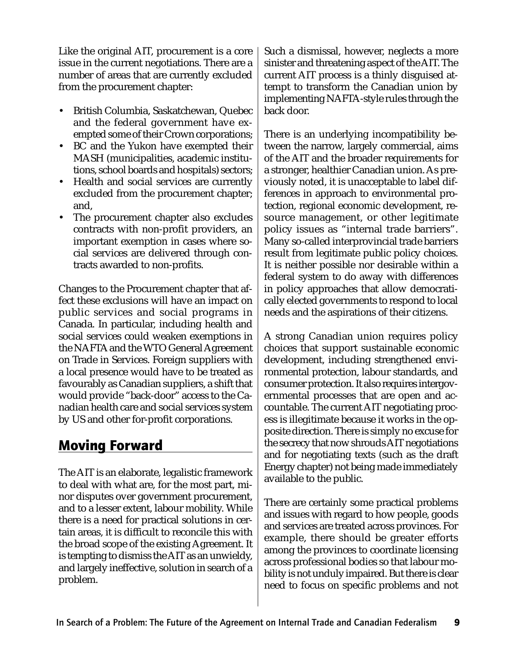Like the original AIT, procurement is a core issue in the current negotiations. There are a number of areas that are currently excluded from the procurement chapter:

- British Columbia, Saskatchewan, Quebec and the federal government have exempted some of their Crown corporations;
- BC and the Yukon have exempted their MASH (municipalities, academic institutions, school boards and hospitals) sectors;
- Health and social services are currently excluded from the procurement chapter; and,
- The procurement chapter also excludes contracts with non-profit providers, an important exemption in cases where social services are delivered through contracts awarded to non-profits.

Changes to the Procurement chapter that affect these exclusions will have an impact on public services and social programs in Canada. In particular, including health and social services could weaken exemptions in the NAFTA and the WTO General Agreement on Trade in Services. Foreign suppliers with a local presence would have to be treated as favourably as Canadian suppliers, a shift that would provide "back-door" access to the Canadian health care and social services system by US and other for-profit corporations.

## Moving Forward

The AIT is an elaborate, legalistic framework to deal with what are, for the most part, minor disputes over government procurement, and to a lesser extent, labour mobility. While there is a need for practical solutions in certain areas, it is difficult to reconcile this with the broad scope of the existing Agreement. It is tempting to dismiss the AIT as an unwieldy, and largely ineffective, solution in search of a problem.

Such a dismissal, however, neglects a more sinister and threatening aspect of the AIT. The current AIT process is a thinly disguised attempt to transform the Canadian union by implementing NAFTA-style rules through the back door.

There is an underlying incompatibility between the narrow, largely commercial, aims of the AIT and the broader requirements for a stronger, healthier Canadian union. As previously noted, it is unacceptable to label differences in approach to environmental protection, regional economic development, resource management, or other legitimate policy issues as "internal trade barriers". Many so-called interprovincial trade barriers result from legitimate public policy choices. It is neither possible nor desirable within a federal system to do away with differences in policy approaches that allow democratically elected governments to respond to local needs and the aspirations of their citizens.

A strong Canadian union requires policy choices that support sustainable economic development, including strengthened environmental protection, labour standards, and consumer protection. It also requires intergovernmental processes that are open and accountable. The current AIT negotiating process is illegitimate because it works in the opposite direction. There is simply no excuse for the secrecy that now shrouds AIT negotiations and for negotiating texts (such as the draft Energy chapter) not being made immediately available to the public.

There are certainly some practical problems and issues with regard to how people, goods and services are treated across provinces. For example, there should be greater efforts among the provinces to coordinate licensing across professional bodies so that labour mobility is not unduly impaired. But there is clear need to focus on specific problems and not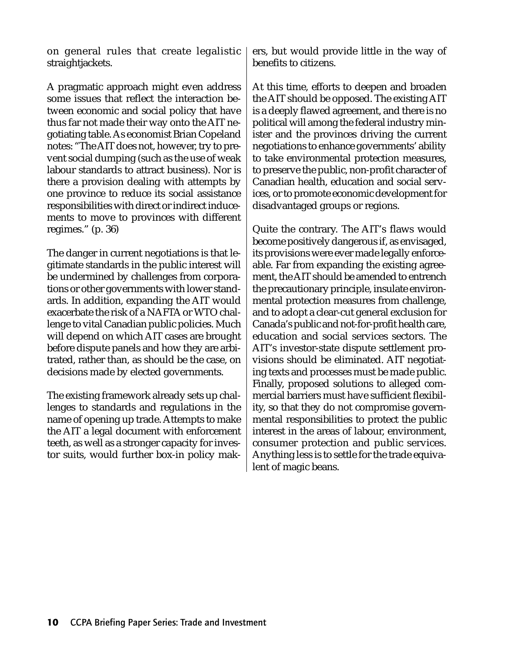on general rules that create legalistic straightjackets.

A pragmatic approach might even address some issues that reflect the interaction between economic and social policy that have thus far not made their way onto the AIT negotiating table. As economist Brian Copeland notes: "The AIT does not, however, try to prevent social dumping (such as the use of weak labour standards to attract business). Nor is there a provision dealing with attempts by one province to reduce its social assistance responsibilities with direct or indirect inducements to move to provinces with different regimes." (p. 36)

The danger in current negotiations is that legitimate standards in the public interest will be undermined by challenges from corporations or other governments with lower standards. In addition, expanding the AIT would exacerbate the risk of a NAFTA or WTO challenge to vital Canadian public policies. Much will depend on which AIT cases are brought before dispute panels and how they are arbitrated, rather than, as should be the case, on decisions made by elected governments.

The existing framework already sets up challenges to standards and regulations in the name of opening up trade. Attempts to make the AIT a legal document with enforcement teeth, as well as a stronger capacity for investor suits, would further box-in policy makers, but would provide little in the way of benefits to citizens.

At this time, efforts to deepen and broaden the AIT should be opposed. The existing AIT is a deeply flawed agreement, and there is no political will among the federal industry minister and the provinces driving the current negotiations to enhance governments' ability to take environmental protection measures, to preserve the public, non-profit character of Canadian health, education and social services, or to promote economic development for disadvantaged groups or regions.

Quite the contrary. The AIT's flaws would become positively dangerous if, as envisaged, its provisions were ever made legally enforceable. Far from expanding the existing agreement, the AIT should be amended to entrench the precautionary principle, insulate environmental protection measures from challenge, and to adopt a clear-cut general exclusion for Canada's public and not-for-profit health care, education and social services sectors. The AIT's investor-state dispute settlement provisions should be eliminated. AIT negotiating texts and processes must be made public. Finally, proposed solutions to alleged commercial barriers must have sufficient flexibility, so that they do not compromise governmental responsibilities to protect the public interest in the areas of labour, environment, consumer protection and public services. Anything less is to settle for the trade equivalent of magic beans.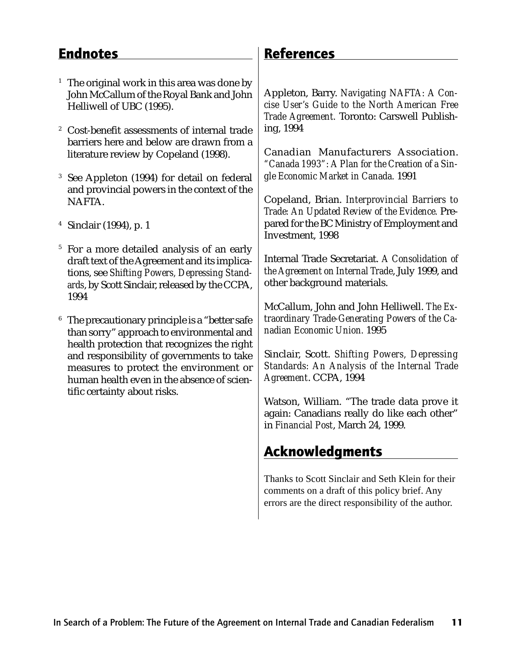### **Endnotes**

- <sup>1</sup> The original work in this area was done by John McCallum of the Royal Bank and John Helliwell of UBC (1995).
- <sup>2</sup> Cost-benefit assessments of internal trade barriers here and below are drawn from a literature review by Copeland (1998).
- <sup>3</sup> See Appleton (1994) for detail on federal and provincial powers in the context of the NAFTA.
- <sup>4</sup> Sinclair (1994), p. 1
- <sup>5</sup> For a more detailed analysis of an early draft text of the Agreement and its implications, see *Shifting Powers, Depressing Standards*, by Scott Sinclair, released by the CCPA, 1994
- The precautionary principle is a "better safe" than sorry" approach to environmental and health protection that recognizes the right and responsibility of governments to take measures to protect the environment or human health even in the absence of scientific certainty about risks.

### References

Appleton, Barry. *Navigating NAFTA: A Concise User's Guide to the North American Free Trade Agreement.* Toronto: Carswell Publishing, 1994

Canadian Manufacturers Association. *"Canada 1993": A Plan for the Creation of a Single Economic Market in Canada.* 1991

Copeland, Brian. *Interprovincial Barriers to Trade: An Updated Review of the Evidence.* Prepared for the BC Ministry of Employment and Investment, 1998

Internal Trade Secretariat. *A Consolidation of the Agreement on Internal Trade*, July 1999, and other background materials.

McCallum, John and John Helliwell. *The Extraordinary Trade-Generating Powers of the Canadian Economic Union.* 1995

Sinclair, Scott. *Shifting Powers, Depressing Standards: An Analysis of the Internal Trade Agreement*. CCPA, 1994

Watson, William. "The trade data prove it again: Canadians really do like each other" in *Financial Post*, March 24, 1999.

## Acknowledgments

Thanks to Scott Sinclair and Seth Klein for their comments on a draft of this policy brief. Any errors are the direct responsibility of the author.